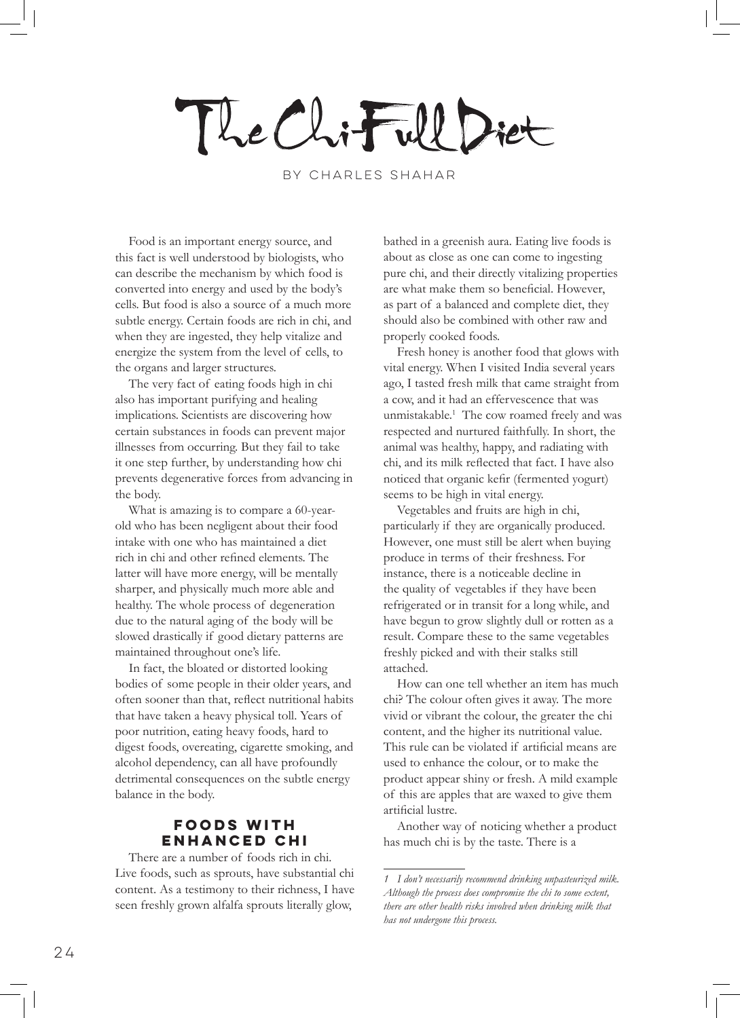The Chiful Diet

by Charles Shahar

Food is an important energy source, and this fact is well understood by biologists, who can describe the mechanism by which food is converted into energy and used by the body's cells. But food is also a source of a much more subtle energy. Certain foods are rich in chi, and when they are ingested, they help vitalize and energize the system from the level of cells, to the organs and larger structures.

The very fact of eating foods high in chi also has important purifying and healing implications. Scientists are discovering how certain substances in foods can prevent major illnesses from occurring. But they fail to take it one step further, by understanding how chi prevents degenerative forces from advancing in the body.

What is amazing is to compare a 60-yearold who has been negligent about their food intake with one who has maintained a diet rich in chi and other refined elements. The latter will have more energy, will be mentally sharper, and physically much more able and healthy. The whole process of degeneration due to the natural aging of the body will be slowed drastically if good dietary patterns are maintained throughout one's life.

In fact, the bloated or distorted looking bodies of some people in their older years, and often sooner than that, reflect nutritional habits that have taken a heavy physical toll. Years of poor nutrition, eating heavy foods, hard to digest foods, overeating, cigarette smoking, and alcohol dependency, can all have profoundly detrimental consequences on the subtle energy balance in the body.

## **Foods with Enhanced Chi**

There are a number of foods rich in chi. Live foods, such as sprouts, have substantial chi content. As a testimony to their richness, I have seen freshly grown alfalfa sprouts literally glow,

bathed in a greenish aura. Eating live foods is about as close as one can come to ingesting pure chi, and their directly vitalizing properties are what make them so beneficial. However, as part of a balanced and complete diet, they should also be combined with other raw and properly cooked foods.

Fresh honey is another food that glows with vital energy. When I visited India several years ago, I tasted fresh milk that came straight from a cow, and it had an effervescence that was unmistakable.<sup>1</sup> The cow roamed freely and was respected and nurtured faithfully. In short, the animal was healthy, happy, and radiating with chi, and its milk reflected that fact. I have also noticed that organic kefir (fermented yogurt) seems to be high in vital energy.

Vegetables and fruits are high in chi, particularly if they are organically produced. However, one must still be alert when buying produce in terms of their freshness. For instance, there is a noticeable decline in the quality of vegetables if they have been refrigerated or in transit for a long while, and have begun to grow slightly dull or rotten as a result. Compare these to the same vegetables freshly picked and with their stalks still attached.

How can one tell whether an item has much chi? The colour often gives it away. The more vivid or vibrant the colour, the greater the chi content, and the higher its nutritional value. This rule can be violated if artificial means are used to enhance the colour, or to make the product appear shiny or fresh. A mild example of this are apples that are waxed to give them artificial lustre.

Another way of noticing whether a product has much chi is by the taste. There is a

*<sup>1</sup> I don't necessarily recommend drinking unpasteurized milk. Although the process does compromise the chi to some extent, there are other health risks involved when drinking milk that has not undergone this process.*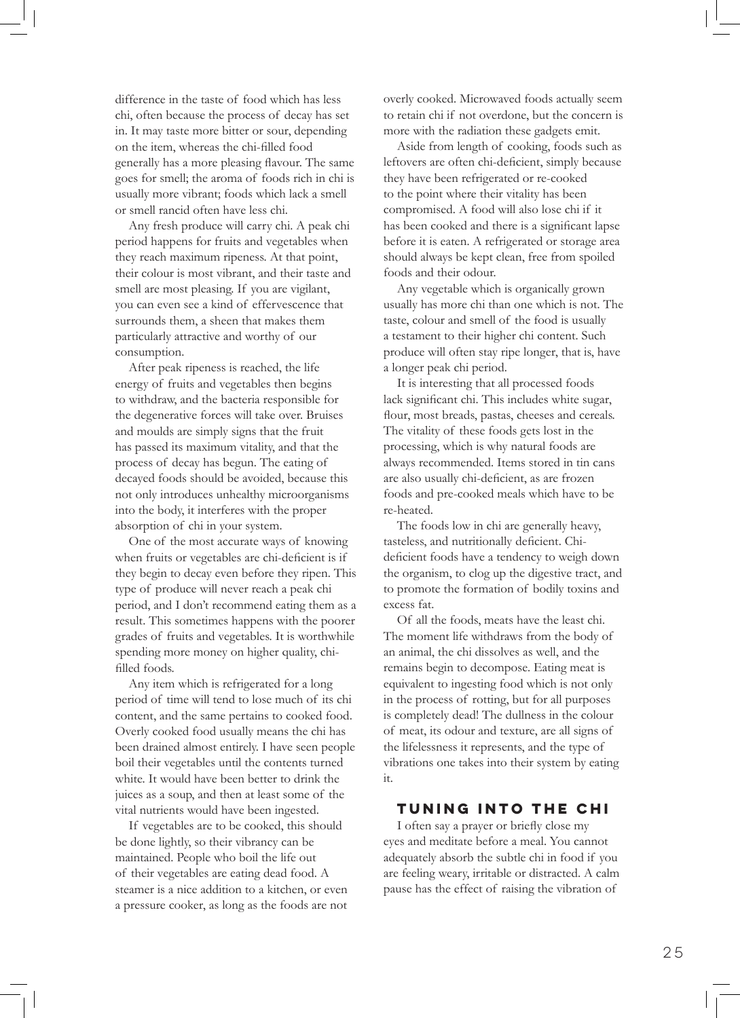difference in the taste of food which has less chi, often because the process of decay has set in. It may taste more bitter or sour, depending on the item, whereas the chi-filled food generally has a more pleasing flavour. The same goes for smell; the aroma of foods rich in chi is usually more vibrant; foods which lack a smell or smell rancid often have less chi.

Any fresh produce will carry chi. A peak chi period happens for fruits and vegetables when they reach maximum ripeness. At that point, their colour is most vibrant, and their taste and smell are most pleasing. If you are vigilant, you can even see a kind of effervescence that surrounds them, a sheen that makes them particularly attractive and worthy of our consumption.

After peak ripeness is reached, the life energy of fruits and vegetables then begins to withdraw, and the bacteria responsible for the degenerative forces will take over. Bruises and moulds are simply signs that the fruit has passed its maximum vitality, and that the process of decay has begun. The eating of decayed foods should be avoided, because this not only introduces unhealthy microorganisms into the body, it interferes with the proper absorption of chi in your system.

One of the most accurate ways of knowing when fruits or vegetables are chi-deficient is if they begin to decay even before they ripen. This type of produce will never reach a peak chi period, and I don't recommend eating them as a result. This sometimes happens with the poorer grades of fruits and vegetables. It is worthwhile spending more money on higher quality, chifilled foods.

Any item which is refrigerated for a long period of time will tend to lose much of its chi content, and the same pertains to cooked food. Overly cooked food usually means the chi has been drained almost entirely. I have seen people boil their vegetables until the contents turned white. It would have been better to drink the juices as a soup, and then at least some of the vital nutrients would have been ingested.

If vegetables are to be cooked, this should be done lightly, so their vibrancy can be maintained. People who boil the life out of their vegetables are eating dead food. A steamer is a nice addition to a kitchen, or even a pressure cooker, as long as the foods are not

overly cooked. Microwaved foods actually seem to retain chi if not overdone, but the concern is more with the radiation these gadgets emit.

Aside from length of cooking, foods such as leftovers are often chi-deficient, simply because they have been refrigerated or re-cooked to the point where their vitality has been compromised. A food will also lose chi if it has been cooked and there is a significant lapse before it is eaten. A refrigerated or storage area should always be kept clean, free from spoiled foods and their odour.

Any vegetable which is organically grown usually has more chi than one which is not. The taste, colour and smell of the food is usually a testament to their higher chi content. Such produce will often stay ripe longer, that is, have a longer peak chi period.

It is interesting that all processed foods lack significant chi. This includes white sugar, flour, most breads, pastas, cheeses and cereals. The vitality of these foods gets lost in the processing, which is why natural foods are always recommended. Items stored in tin cans are also usually chi-deficient, as are frozen foods and pre-cooked meals which have to be re-heated.

The foods low in chi are generally heavy, tasteless, and nutritionally deficient. Chideficient foods have a tendency to weigh down the organism, to clog up the digestive tract, and to promote the formation of bodily toxins and excess fat.

Of all the foods, meats have the least chi. The moment life withdraws from the body of an animal, the chi dissolves as well, and the remains begin to decompose. Eating meat is equivalent to ingesting food which is not only in the process of rotting, but for all purposes is completely dead! The dullness in the colour of meat, its odour and texture, are all signs of the lifelessness it represents, and the type of vibrations one takes into their system by eating it.

## **Tuning Into the Chi**

I often say a prayer or briefly close my eyes and meditate before a meal. You cannot adequately absorb the subtle chi in food if you are feeling weary, irritable or distracted. A calm pause has the effect of raising the vibration of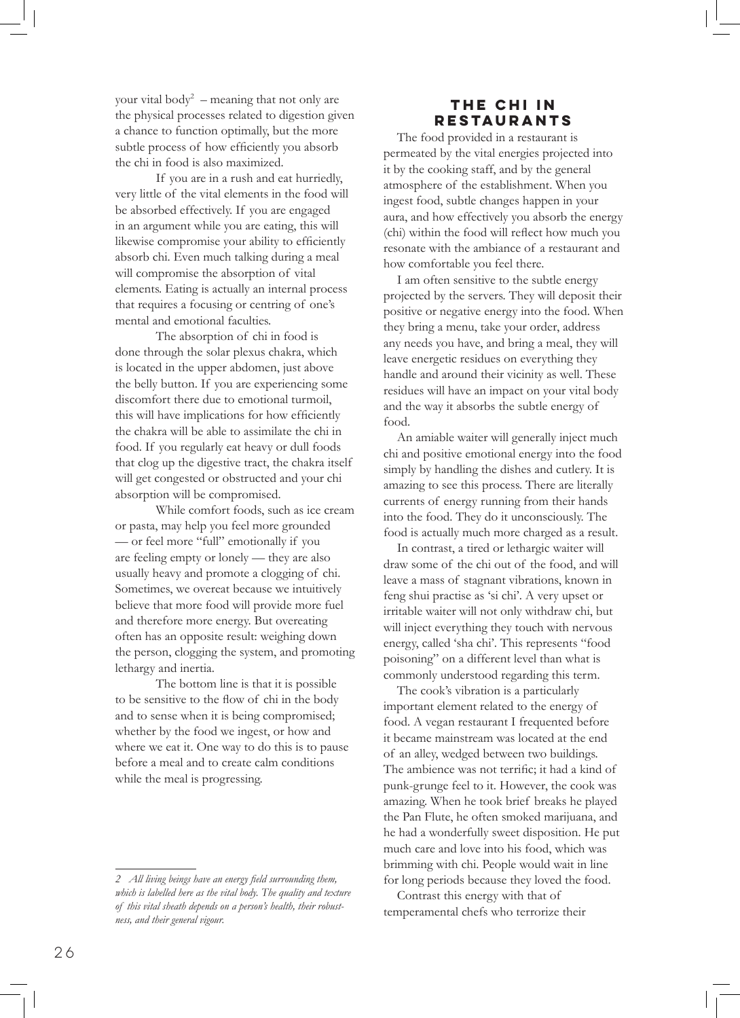your vital body<sup>2</sup> – meaning that not only are the physical processes related to digestion given a chance to function optimally, but the more subtle process of how efficiently you absorb the chi in food is also maximized.

If you are in a rush and eat hurriedly, very little of the vital elements in the food will be absorbed effectively. If you are engaged in an argument while you are eating, this will likewise compromise your ability to efficiently absorb chi. Even much talking during a meal will compromise the absorption of vital elements. Eating is actually an internal process that requires a focusing or centring of one's mental and emotional faculties.

The absorption of chi in food is done through the solar plexus chakra, which is located in the upper abdomen, just above the belly button. If you are experiencing some discomfort there due to emotional turmoil, this will have implications for how efficiently the chakra will be able to assimilate the chi in food. If you regularly eat heavy or dull foods that clog up the digestive tract, the chakra itself will get congested or obstructed and your chi absorption will be compromised.

While comfort foods, such as ice cream or pasta, may help you feel more grounded — or feel more "full" emotionally if you are feeling empty or lonely — they are also usually heavy and promote a clogging of chi. Sometimes, we overeat because we intuitively believe that more food will provide more fuel and therefore more energy. But overeating often has an opposite result: weighing down the person, clogging the system, and promoting lethargy and inertia.

The bottom line is that it is possible to be sensitive to the flow of chi in the body and to sense when it is being compromised; whether by the food we ingest, or how and where we eat it. One way to do this is to pause before a meal and to create calm conditions while the meal is progressing.

## **The Chi in Restaurants**

The food provided in a restaurant is permeated by the vital energies projected into it by the cooking staff, and by the general atmosphere of the establishment. When you ingest food, subtle changes happen in your aura, and how effectively you absorb the energy (chi) within the food will reflect how much you resonate with the ambiance of a restaurant and how comfortable you feel there.

I am often sensitive to the subtle energy projected by the servers. They will deposit their positive or negative energy into the food. When they bring a menu, take your order, address any needs you have, and bring a meal, they will leave energetic residues on everything they handle and around their vicinity as well. These residues will have an impact on your vital body and the way it absorbs the subtle energy of food.

An amiable waiter will generally inject much chi and positive emotional energy into the food simply by handling the dishes and cutlery. It is amazing to see this process. There are literally currents of energy running from their hands into the food. They do it unconsciously. The food is actually much more charged as a result.

In contrast, a tired or lethargic waiter will draw some of the chi out of the food, and will leave a mass of stagnant vibrations, known in feng shui practise as 'si chi'. A very upset or irritable waiter will not only withdraw chi, but will inject everything they touch with nervous energy, called 'sha chi'. This represents "food poisoning" on a different level than what is commonly understood regarding this term.

The cook's vibration is a particularly important element related to the energy of food. A vegan restaurant I frequented before it became mainstream was located at the end of an alley, wedged between two buildings. The ambience was not terrific; it had a kind of punk-grunge feel to it. However, the cook was amazing. When he took brief breaks he played the Pan Flute, he often smoked marijuana, and he had a wonderfully sweet disposition. He put much care and love into his food, which was brimming with chi. People would wait in line for long periods because they loved the food.

Contrast this energy with that of temperamental chefs who terrorize their

*<sup>2</sup> All living beings have an energy field surrounding them, which is labelled here as the vital body. The quality and texture of this vital sheath depends on a person's health, their robustness, and their general vigour.*